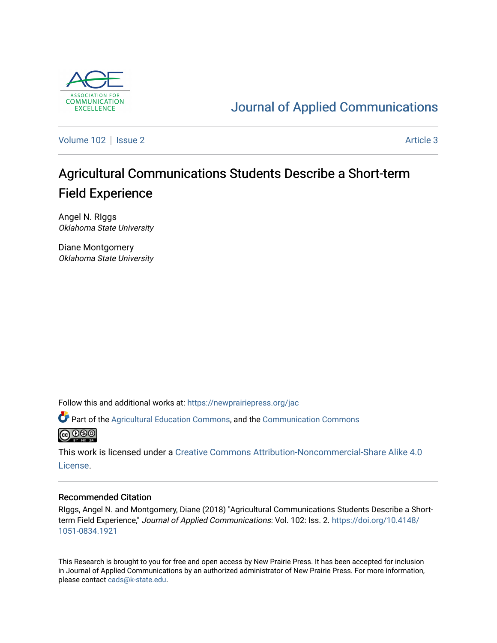

# [Journal of Applied Communications](https://newprairiepress.org/jac)

[Volume 102](https://newprairiepress.org/jac/vol102) | [Issue 2](https://newprairiepress.org/jac/vol102/iss2) Article 3

# Agricultural Communications Students Describe a Short-term Field Experience

Angel N. RIggs Oklahoma State University

Diane Montgomery Oklahoma State University

Follow this and additional works at: [https://newprairiepress.org/jac](https://newprairiepress.org/jac?utm_source=newprairiepress.org%2Fjac%2Fvol102%2Fiss2%2F3&utm_medium=PDF&utm_campaign=PDFCoverPages)

Part of the [Agricultural Education Commons,](http://network.bepress.com/hgg/discipline/1231?utm_source=newprairiepress.org%2Fjac%2Fvol102%2Fiss2%2F3&utm_medium=PDF&utm_campaign=PDFCoverPages) and the [Communication Commons](http://network.bepress.com/hgg/discipline/325?utm_source=newprairiepress.org%2Fjac%2Fvol102%2Fiss2%2F3&utm_medium=PDF&utm_campaign=PDFCoverPages)  **@@@** 

This work is licensed under a [Creative Commons Attribution-Noncommercial-Share Alike 4.0](https://creativecommons.org/licenses/by-nc-sa/4.0/) [License.](https://creativecommons.org/licenses/by-nc-sa/4.0/)

#### Recommended Citation

RIggs, Angel N. and Montgomery, Diane (2018) "Agricultural Communications Students Describe a Shortterm Field Experience," Journal of Applied Communications: Vol. 102: Iss. 2. [https://doi.org/10.4148/](https://doi.org/10.4148/1051-0834.1921) [1051-0834.1921](https://doi.org/10.4148/1051-0834.1921) 

This Research is brought to you for free and open access by New Prairie Press. It has been accepted for inclusion in Journal of Applied Communications by an authorized administrator of New Prairie Press. For more information, please contact [cads@k-state.edu.](mailto:cads@k-state.edu)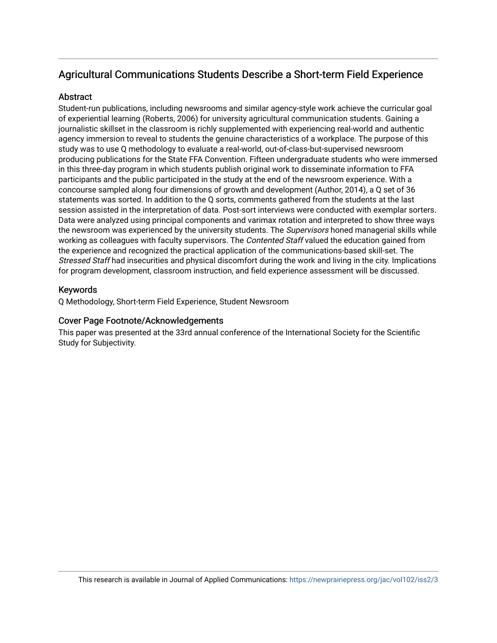## Agricultural Communications Students Describe a Short-term Field Experience

## **Abstract**

Student-run publications, including newsrooms and similar agency-style work achieve the curricular goal of experiential learning (Roberts, 2006) for university agricultural communication students. Gaining a journalistic skillset in the classroom is richly supplemented with experiencing real-world and authentic agency immersion to reveal to students the genuine characteristics of a workplace. The purpose of this study was to use Q methodology to evaluate a real-world, out-of-class-but-supervised newsroom producing publications for the State FFA Convention. Fifteen undergraduate students who were immersed in this three-day program in which students publish original work to disseminate information to FFA participants and the public participated in the study at the end of the newsroom experience. With a concourse sampled along four dimensions of growth and development (Author, 2014), a Q set of 36 statements was sorted. In addition to the Q sorts, comments gathered from the students at the last session assisted in the interpretation of data. Post-sort interviews were conducted with exemplar sorters. Data were analyzed using principal components and varimax rotation and interpreted to show three ways the newsroom was experienced by the university students. The *Supervisors* honed managerial skills while working as colleagues with faculty supervisors. The Contented Staff valued the education gained from the experience and recognized the practical application of the communications-based skill-set. The Stressed Staff had insecurities and physical discomfort during the work and living in the city. Implications for program development, classroom instruction, and field experience assessment will be discussed.

## Keywords

Q Methodology, Short-term Field Experience, Student Newsroom

## Cover Page Footnote/Acknowledgements

This paper was presented at the 33rd annual conference of the International Society for the Scientific Study for Subjectivity.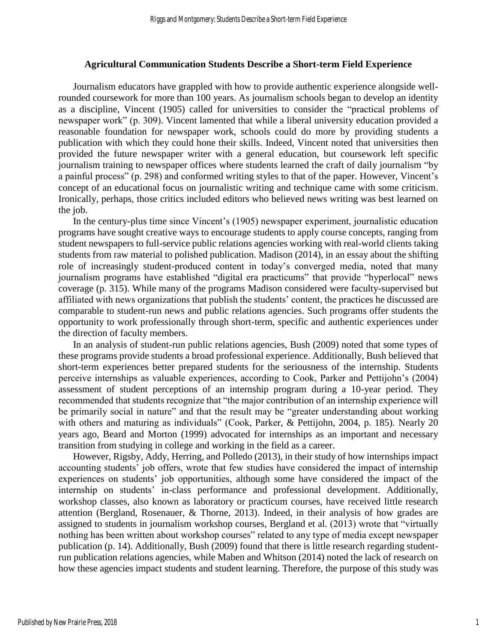#### **Agricultural Communication Students Describe a Short-term Field Experience**

Journalism educators have grappled with how to provide authentic experience alongside wellrounded coursework for more than 100 years. As journalism schools began to develop an identity as a discipline, Vincent (1905) called for universities to consider the "practical problems of newspaper work" (p. 309). Vincent lamented that while a liberal university education provided a reasonable foundation for newspaper work, schools could do more by providing students a publication with which they could hone their skills. Indeed, Vincent noted that universities then provided the future newspaper writer with a general education, but coursework left specific journalism training to newspaper offices where students learned the craft of daily journalism "by a painful process" (p. 298) and conformed writing styles to that of the paper. However, Vincent's concept of an educational focus on journalistic writing and technique came with some criticism. Ironically, perhaps, those critics included editors who believed news writing was best learned on the job.

In the century-plus time since Vincent's (1905) newspaper experiment, journalistic education programs have sought creative ways to encourage students to apply course concepts, ranging from student newspapers to full-service public relations agencies working with real-world clients taking students from raw material to polished publication. Madison (2014), in an essay about the shifting role of increasingly student-produced content in today's converged media, noted that many journalism programs have established "digital era practicums" that provide "hyperlocal" news coverage (p. 315). While many of the programs Madison considered were faculty-supervised but affiliated with news organizations that publish the students' content, the practices he discussed are comparable to student-run news and public relations agencies. Such programs offer students the opportunity to work professionally through short-term, specific and authentic experiences under the direction of faculty members.

In an analysis of student-run public relations agencies, Bush (2009) noted that some types of these programs provide students a broad professional experience. Additionally, Bush believed that short-term experiences better prepared students for the seriousness of the internship. Students perceive internships as valuable experiences, according to Cook, Parker and Pettijohn's (2004) assessment of student perceptions of an internship program during a 10-year period. They recommended that students recognize that "the major contribution of an internship experience will be primarily social in nature" and that the result may be "greater understanding about working with others and maturing as individuals" (Cook, Parker, & Pettijohn, 2004, p. 185). Nearly 20 years ago, Beard and Morton (1999) advocated for internships as an important and necessary transition from studying in college and working in the field as a career.

However, Rigsby, Addy, Herring, and Polledo (2013), in their study of how internships impact accounting students' job offers, wrote that few studies have considered the impact of internship experiences on students' job opportunities, although some have considered the impact of the internship on students' in-class performance and professional development. Additionally, workshop classes, also known as laboratory or practicum courses, have received little research attention (Bergland, Rosenauer, & Thorne, 2013). Indeed, in their analysis of how grades are assigned to students in journalism workshop courses, Bergland et al. (2013) wrote that "virtually nothing has been written about workshop courses" related to any type of media except newspaper publication (p. 14). Additionally, Bush (2009) found that there is little research regarding studentrun publication relations agencies, while Maben and Whitson (2014) noted the lack of research on how these agencies impact students and student learning. Therefore, the purpose of this study was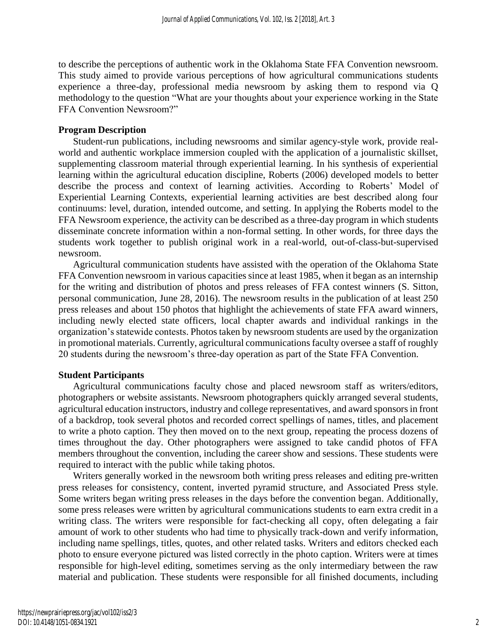to describe the perceptions of authentic work in the Oklahoma State FFA Convention newsroom. This study aimed to provide various perceptions of how agricultural communications students experience a three-day, professional media newsroom by asking them to respond via Q methodology to the question "What are your thoughts about your experience working in the State FFA Convention Newsroom?"

#### **Program Description**

Student-run publications, including newsrooms and similar agency-style work, provide realworld and authentic workplace immersion coupled with the application of a journalistic skillset, supplementing classroom material through experiential learning. In his synthesis of experiential learning within the agricultural education discipline, Roberts (2006) developed models to better describe the process and context of learning activities. According to Roberts' Model of Experiential Learning Contexts, experiential learning activities are best described along four continuums: level, duration, intended outcome, and setting. In applying the Roberts model to the FFA Newsroom experience, the activity can be described as a three-day program in which students disseminate concrete information within a non-formal setting. In other words, for three days the students work together to publish original work in a real-world, out-of-class-but-supervised newsroom.

Agricultural communication students have assisted with the operation of the Oklahoma State FFA Convention newsroom in various capacities since at least 1985, when it began as an internship for the writing and distribution of photos and press releases of FFA contest winners (S. Sitton, personal communication, June 28, 2016). The newsroom results in the publication of at least 250 press releases and about 150 photos that highlight the achievements of state FFA award winners, including newly elected state officers, local chapter awards and individual rankings in the organization's statewide contests. Photos taken by newsroom students are used by the organization in promotional materials. Currently, agricultural communications faculty oversee a staff of roughly 20 students during the newsroom's three-day operation as part of the State FFA Convention.

## **Student Participants**

Agricultural communications faculty chose and placed newsroom staff as writers/editors, photographers or website assistants. Newsroom photographers quickly arranged several students, agricultural education instructors, industry and college representatives, and award sponsors in front of a backdrop, took several photos and recorded correct spellings of names, titles, and placement to write a photo caption. They then moved on to the next group, repeating the process dozens of times throughout the day. Other photographers were assigned to take candid photos of FFA members throughout the convention, including the career show and sessions. These students were required to interact with the public while taking photos.

Writers generally worked in the newsroom both writing press releases and editing pre-written press releases for consistency, content, inverted pyramid structure, and Associated Press style. Some writers began writing press releases in the days before the convention began. Additionally, some press releases were written by agricultural communications students to earn extra credit in a writing class. The writers were responsible for fact-checking all copy, often delegating a fair amount of work to other students who had time to physically track-down and verify information, including name spellings, titles, quotes, and other related tasks. Writers and editors checked each photo to ensure everyone pictured was listed correctly in the photo caption. Writers were at times responsible for high-level editing, sometimes serving as the only intermediary between the raw material and publication. These students were responsible for all finished documents, including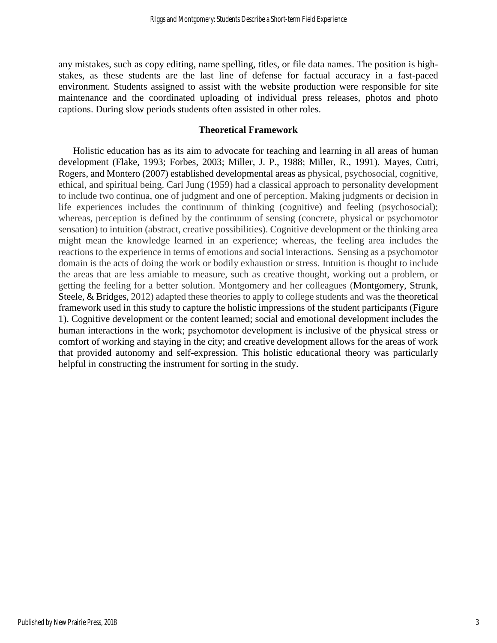any mistakes, such as copy editing, name spelling, titles, or file data names. The position is highstakes, as these students are the last line of defense for factual accuracy in a fast-paced environment. Students assigned to assist with the website production were responsible for site maintenance and the coordinated uploading of individual press releases, photos and photo captions. During slow periods students often assisted in other roles.

### **Theoretical Framework**

Holistic education has as its aim to advocate for teaching and learning in all areas of human development (Flake, 1993; Forbes, 2003; Miller, J. P., 1988; Miller, R., 1991). Mayes, Cutri, Rogers, and Montero (2007) established developmental areas as physical, psychosocial, cognitive, ethical, and spiritual being. Carl Jung (1959) had a classical approach to personality development to include two continua, one of judgment and one of perception. Making judgments or decision in life experiences includes the continuum of thinking (cognitive) and feeling (psychosocial); whereas, perception is defined by the continuum of sensing (concrete, physical or psychomotor sensation) to intuition (abstract, creative possibilities). Cognitive development or the thinking area might mean the knowledge learned in an experience; whereas, the feeling area includes the reactions to the experience in terms of emotions and social interactions. Sensing as a psychomotor domain is the acts of doing the work or bodily exhaustion or stress. Intuition is thought to include the areas that are less amiable to measure, such as creative thought, working out a problem, or getting the feeling for a better solution. Montgomery and her colleagues (Montgomery, Strunk, Steele, & Bridges, 2012) adapted these theories to apply to college students and was the theoretical framework used in this study to capture the holistic impressions of the student participants (Figure 1). Cognitive development or the content learned; social and emotional development includes the human interactions in the work; psychomotor development is inclusive of the physical stress or comfort of working and staying in the city; and creative development allows for the areas of work that provided autonomy and self-expression. This holistic educational theory was particularly helpful in constructing the instrument for sorting in the study.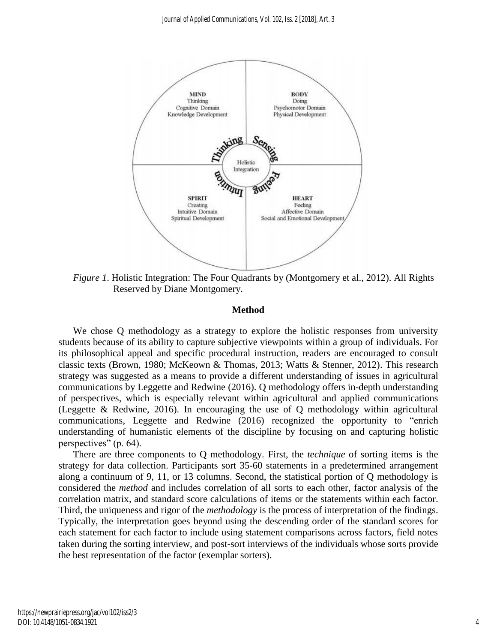

*Figure 1*. Holistic Integration: The Four Quadrants by (Montgomery et al., 2012). All Rights Reserved by Diane Montgomery.

#### **Method**

We chose Q methodology as a strategy to explore the holistic responses from university students because of its ability to capture subjective viewpoints within a group of individuals. For its philosophical appeal and specific procedural instruction, readers are encouraged to consult classic texts (Brown, 1980; McKeown & Thomas, 2013; Watts & Stenner, 2012). This research strategy was suggested as a means to provide a different understanding of issues in agricultural communications by Leggette and Redwine (2016). Q methodology offers in-depth understanding of perspectives, which is especially relevant within agricultural and applied communications (Leggette & Redwine, 2016). In encouraging the use of Q methodology within agricultural communications, Leggette and Redwine (2016) recognized the opportunity to "enrich understanding of humanistic elements of the discipline by focusing on and capturing holistic perspectives" (p. 64).

There are three components to Q methodology. First, the *technique* of sorting items is the strategy for data collection. Participants sort 35-60 statements in a predetermined arrangement along a continuum of 9, 11, or 13 columns. Second, the statistical portion of Q methodology is considered the *method* and includes correlation of all sorts to each other, factor analysis of the correlation matrix, and standard score calculations of items or the statements within each factor. Third, the uniqueness and rigor of the *methodology* is the process of interpretation of the findings. Typically, the interpretation goes beyond using the descending order of the standard scores for each statement for each factor to include using statement comparisons across factors, field notes taken during the sorting interview, and post-sort interviews of the individuals whose sorts provide the best representation of the factor (exemplar sorters).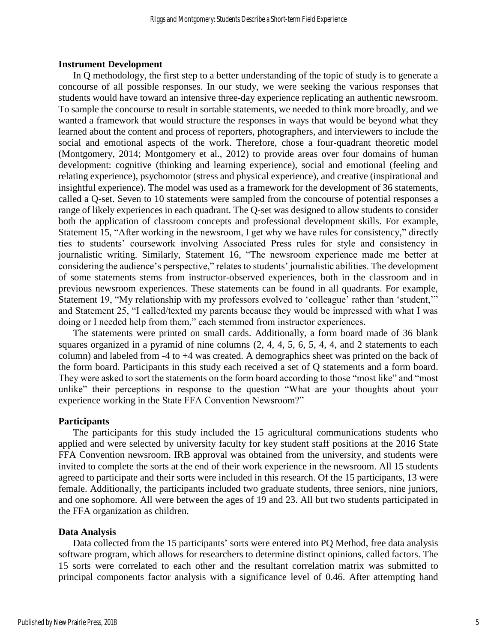#### **Instrument Development**

In Q methodology, the first step to a better understanding of the topic of study is to generate a concourse of all possible responses. In our study, we were seeking the various responses that students would have toward an intensive three-day experience replicating an authentic newsroom. To sample the concourse to result in sortable statements, we needed to think more broadly, and we wanted a framework that would structure the responses in ways that would be beyond what they learned about the content and process of reporters, photographers, and interviewers to include the social and emotional aspects of the work. Therefore, chose a four-quadrant theoretic model (Montgomery, 2014; Montgomery et al., 2012) to provide areas over four domains of human development: cognitive (thinking and learning experience), social and emotional (feeling and relating experience), psychomotor (stress and physical experience), and creative (inspirational and insightful experience). The model was used as a framework for the development of 36 statements, called a Q-set. Seven to 10 statements were sampled from the concourse of potential responses a range of likely experiences in each quadrant. The Q-set was designed to allow students to consider both the application of classroom concepts and professional development skills. For example, Statement 15, "After working in the newsroom, I get why we have rules for consistency," directly ties to students' coursework involving Associated Press rules for style and consistency in journalistic writing. Similarly, Statement 16, "The newsroom experience made me better at considering the audience's perspective," relates to students' journalistic abilities. The development of some statements stems from instructor-observed experiences, both in the classroom and in previous newsroom experiences. These statements can be found in all quadrants. For example, Statement 19, "My relationship with my professors evolved to 'colleague' rather than 'student,'" and Statement 25, "I called/texted my parents because they would be impressed with what I was doing or I needed help from them," each stemmed from instructor experiences.

The statements were printed on small cards. Additionally, a form board made of 36 blank squares organized in a pyramid of nine columns (2, 4, 4, 5, 6, 5, 4, 4, and 2 statements to each column) and labeled from -4 to +4 was created. A demographics sheet was printed on the back of the form board. Participants in this study each received a set of Q statements and a form board. They were asked to sort the statements on the form board according to those "most like" and "most unlike" their perceptions in response to the question "What are your thoughts about your experience working in the State FFA Convention Newsroom?"

#### **Participants**

The participants for this study included the 15 agricultural communications students who applied and were selected by university faculty for key student staff positions at the 2016 State FFA Convention newsroom. IRB approval was obtained from the university, and students were invited to complete the sorts at the end of their work experience in the newsroom. All 15 students agreed to participate and their sorts were included in this research. Of the 15 participants, 13 were female. Additionally, the participants included two graduate students, three seniors, nine juniors, and one sophomore. All were between the ages of 19 and 23. All but two students participated in the FFA organization as children.

#### **Data Analysis**

Data collected from the 15 participants' sorts were entered into PQ Method, free data analysis software program, which allows for researchers to determine distinct opinions, called factors. The 15 sorts were correlated to each other and the resultant correlation matrix was submitted to principal components factor analysis with a significance level of 0.46. After attempting hand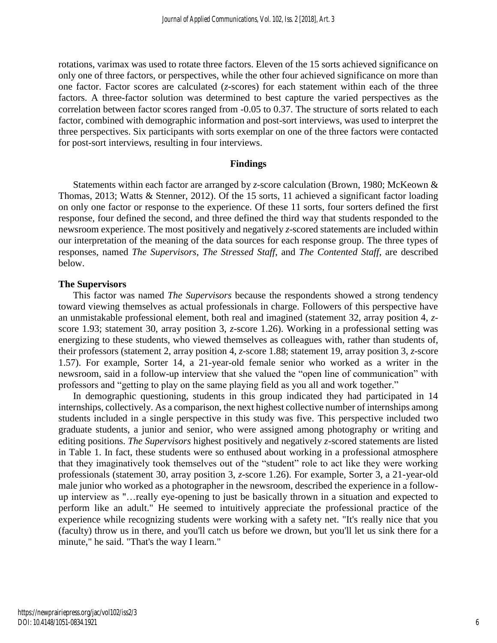rotations, varimax was used to rotate three factors. Eleven of the 15 sorts achieved significance on only one of three factors, or perspectives, while the other four achieved significance on more than one factor. Factor scores are calculated (*z*-scores) for each statement within each of the three factors. A three-factor solution was determined to best capture the varied perspectives as the correlation between factor scores ranged from -0.05 to 0.37. The structure of sorts related to each factor, combined with demographic information and post-sort interviews, was used to interpret the three perspectives. Six participants with sorts exemplar on one of the three factors were contacted for post-sort interviews, resulting in four interviews.

#### **Findings**

Statements within each factor are arranged by *z*-score calculation (Brown, 1980; McKeown & Thomas, 2013; Watts & Stenner, 2012). Of the 15 sorts, 11 achieved a significant factor loading on only one factor or response to the experience. Of these 11 sorts, four sorters defined the first response, four defined the second, and three defined the third way that students responded to the newsroom experience. The most positively and negatively *z-*scored statements are included within our interpretation of the meaning of the data sources for each response group. The three types of responses, named *The Supervisors*, *The Stressed Staff*, and *The Contented Staff*, are described below.

#### **The Supervisors**

This factor was named *The Supervisors* because the respondents showed a strong tendency toward viewing themselves as actual professionals in charge. Followers of this perspective have an unmistakable professional element, both real and imagined (statement 32, array position 4, *z*score 1.93; statement 30, array position 3, *z*-score 1.26). Working in a professional setting was energizing to these students, who viewed themselves as colleagues with, rather than students of, their professors (statement 2, array position 4, *z*-score 1.88; statement 19, array position 3, *z*-score 1.57). For example, Sorter 14, a 21-year-old female senior who worked as a writer in the newsroom, said in a follow-up interview that she valued the "open line of communication" with professors and "getting to play on the same playing field as you all and work together."

In demographic questioning, students in this group indicated they had participated in 14 internships, collectively. As a comparison, the next highest collective number of internships among students included in a single perspective in this study was five. This perspective included two graduate students, a junior and senior, who were assigned among photography or writing and editing positions. *The Supervisors* highest positively and negatively *z*-scored statements are listed in Table 1. In fact, these students were so enthused about working in a professional atmosphere that they imaginatively took themselves out of the "student" role to act like they were working professionals (statement 30, array position 3, *z*-score 1.26). For example, Sorter 3, a 21-year-old male junior who worked as a photographer in the newsroom, described the experience in a followup interview as "…really eye-opening to just be basically thrown in a situation and expected to perform like an adult." He seemed to intuitively appreciate the professional practice of the experience while recognizing students were working with a safety net. "It's really nice that you (faculty) throw us in there, and you'll catch us before we drown, but you'll let us sink there for a minute," he said. "That's the way I learn."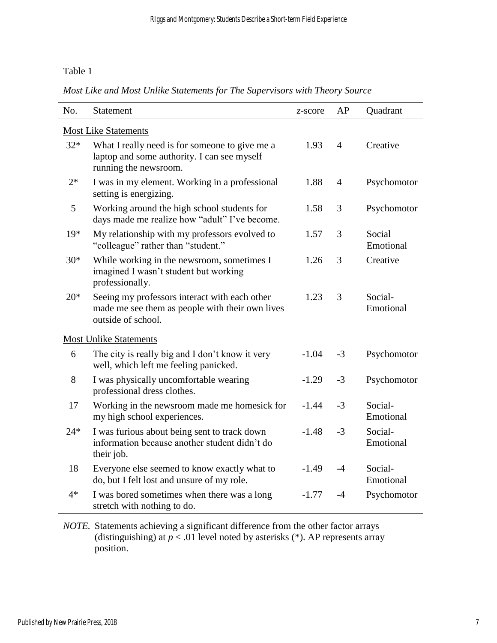## Table 1

|  | Most Like and Most Unlike Statements for The Supervisors with Theory Source |  |
|--|-----------------------------------------------------------------------------|--|
|--|-----------------------------------------------------------------------------|--|

| No.                           | Statement                                                                                                              | $z$ -score | AP             | Quadrant             |  |  |  |  |
|-------------------------------|------------------------------------------------------------------------------------------------------------------------|------------|----------------|----------------------|--|--|--|--|
| <b>Most Like Statements</b>   |                                                                                                                        |            |                |                      |  |  |  |  |
| $32*$                         | What I really need is for someone to give me a<br>laptop and some authority. I can see myself<br>running the newsroom. | 1.93       | $\overline{4}$ | Creative             |  |  |  |  |
| $2*$                          | I was in my element. Working in a professional<br>setting is energizing.                                               | 1.88       | $\overline{4}$ | Psychomotor          |  |  |  |  |
| 5                             | Working around the high school students for<br>days made me realize how "adult" I've become.                           | 1.58       | 3              | Psychomotor          |  |  |  |  |
| $19*$                         | My relationship with my professors evolved to<br>"colleague" rather than "student."                                    | 1.57       | 3              | Social<br>Emotional  |  |  |  |  |
| $30*$                         | While working in the newsroom, sometimes I<br>imagined I wasn't student but working<br>professionally.                 | 1.26       | 3              | Creative             |  |  |  |  |
| $20*$                         | Seeing my professors interact with each other<br>made me see them as people with their own lives<br>outside of school. | 1.23       | 3              | Social-<br>Emotional |  |  |  |  |
| <b>Most Unlike Statements</b> |                                                                                                                        |            |                |                      |  |  |  |  |
| 6                             | The city is really big and I don't know it very<br>well, which left me feeling panicked.                               | $-1.04$    | $-3$           | Psychomotor          |  |  |  |  |
| 8                             | I was physically uncomfortable wearing<br>professional dress clothes.                                                  | $-1.29$    | $-3$           | Psychomotor          |  |  |  |  |
| 17                            | Working in the newsroom made me homesick for<br>my high school experiences.                                            | $-1.44$    | $-3$           | Social-<br>Emotional |  |  |  |  |
| $24*$                         | I was furious about being sent to track down<br>information because another student didn't do<br>their job.            | $-1.48$    | $-3$           | Social-<br>Emotional |  |  |  |  |
| 18                            | Everyone else seemed to know exactly what to<br>do, but I felt lost and unsure of my role.                             | $-1.49$    | $-4$           | Social-<br>Emotional |  |  |  |  |
| $4*$                          | I was bored sometimes when there was a long<br>stretch with nothing to do.                                             | $-1.77$    | -4             | Psychomotor          |  |  |  |  |

*NOTE.* Statements achieving a significant difference from the other factor arrays (distinguishing) at  $p < 0.01$  level noted by asterisks (\*). AP represents array position.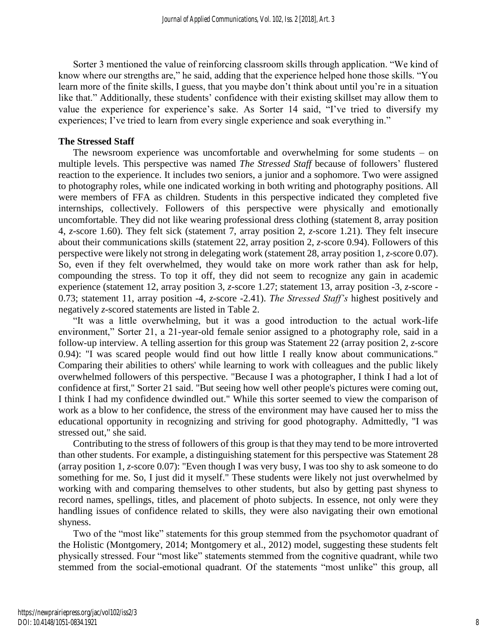Sorter 3 mentioned the value of reinforcing classroom skills through application. "We kind of know where our strengths are," he said, adding that the experience helped hone those skills. "You learn more of the finite skills, I guess, that you maybe don't think about until you're in a situation like that." Additionally, these students' confidence with their existing skillset may allow them to value the experience for experience's sake. As Sorter 14 said, "I've tried to diversify my experiences; I've tried to learn from every single experience and soak everything in."

### **The Stressed Staff**

The newsroom experience was uncomfortable and overwhelming for some students – on multiple levels. This perspective was named *The Stressed Staff* because of followers' flustered reaction to the experience. It includes two seniors, a junior and a sophomore. Two were assigned to photography roles, while one indicated working in both writing and photography positions. All were members of FFA as children. Students in this perspective indicated they completed five internships, collectively. Followers of this perspective were physically and emotionally uncomfortable. They did not like wearing professional dress clothing (statement 8, array position 4, *z*-score 1.60). They felt sick (statement 7, array position 2, *z*-score 1.21). They felt insecure about their communications skills (statement 22, array position 2, *z*-score 0.94). Followers of this perspective were likely not strong in delegating work (statement 28, array position 1, *z*-score 0.07). So, even if they felt overwhelmed, they would take on more work rather than ask for help, compounding the stress. To top it off, they did not seem to recognize any gain in academic experience (statement 12, array position 3, *z*-score 1.27; statement 13, array position -3, *z*-score - 0.73; statement 11, array position -4, *z*-score -2.41). *The Stressed Staff's* highest positively and negatively *z*-scored statements are listed in Table 2.

"It was a little overwhelming, but it was a good introduction to the actual work-life environment," Sorter 21, a 21-year-old female senior assigned to a photography role, said in a follow-up interview. A telling assertion for this group was Statement 22 (array position 2, *z*-score 0.94): "I was scared people would find out how little I really know about communications." Comparing their abilities to others' while learning to work with colleagues and the public likely overwhelmed followers of this perspective. "Because I was a photographer, I think I had a lot of confidence at first," Sorter 21 said. "But seeing how well other people's pictures were coming out, I think I had my confidence dwindled out." While this sorter seemed to view the comparison of work as a blow to her confidence, the stress of the environment may have caused her to miss the educational opportunity in recognizing and striving for good photography. Admittedly, "I was stressed out," she said.

Contributing to the stress of followers of this group is that they may tend to be more introverted than other students. For example, a distinguishing statement for this perspective was Statement 28 (array position 1, *z*-score 0.07): "Even though I was very busy, I was too shy to ask someone to do something for me. So, I just did it myself." These students were likely not just overwhelmed by working with and comparing themselves to other students, but also by getting past shyness to record names, spellings, titles, and placement of photo subjects. In essence, not only were they handling issues of confidence related to skills, they were also navigating their own emotional shyness.

Two of the "most like" statements for this group stemmed from the psychomotor quadrant of the Holistic (Montgomery, 2014; Montgomery et al., 2012) model, suggesting these students felt physically stressed. Four "most like" statements stemmed from the cognitive quadrant, while two stemmed from the social-emotional quadrant. Of the statements "most unlike" this group, all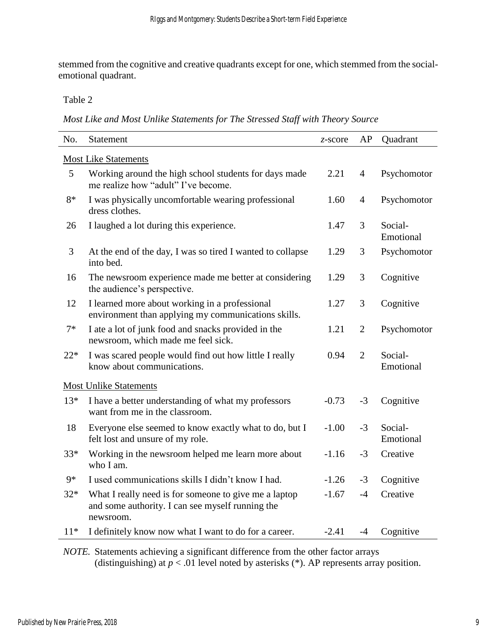stemmed from the cognitive and creative quadrants except for one, which stemmed from the socialemotional quadrant.

## Table 2

*Most Like and Most Unlike Statements for The Stressed Staff with Theory Source*

| No.                         | Statement                                                                                                              | $z$ -score | AP             | Quadrant             |  |  |  |
|-----------------------------|------------------------------------------------------------------------------------------------------------------------|------------|----------------|----------------------|--|--|--|
| <b>Most Like Statements</b> |                                                                                                                        |            |                |                      |  |  |  |
| 5                           | Working around the high school students for days made<br>me realize how "adult" I've become.                           | 2.21       | $\overline{4}$ | Psychomotor          |  |  |  |
| $8*$                        | I was physically uncomfortable wearing professional<br>dress clothes.                                                  | 1.60       | $\overline{4}$ | Psychomotor          |  |  |  |
| 26                          | I laughed a lot during this experience.                                                                                | 1.47       | 3              | Social-<br>Emotional |  |  |  |
| 3                           | At the end of the day, I was so tired I wanted to collapse<br>into bed.                                                | 1.29       | 3              | Psychomotor          |  |  |  |
| 16                          | The newsroom experience made me better at considering<br>the audience's perspective.                                   | 1.29       | 3              | Cognitive            |  |  |  |
| 12                          | I learned more about working in a professional<br>environment than applying my communications skills.                  | 1.27       | 3              | Cognitive            |  |  |  |
| $7*$                        | I ate a lot of junk food and snacks provided in the<br>newsroom, which made me feel sick.                              | 1.21       | $\overline{2}$ | Psychomotor          |  |  |  |
| $22*$                       | I was scared people would find out how little I really<br>know about communications.                                   | 0.94       | $\overline{2}$ | Social-<br>Emotional |  |  |  |
|                             | <b>Most Unlike Statements</b>                                                                                          |            |                |                      |  |  |  |
| $13*$                       | I have a better understanding of what my professors<br>want from me in the classroom.                                  | $-0.73$    | $-3$           | Cognitive            |  |  |  |
| 18                          | Everyone else seemed to know exactly what to do, but I<br>felt lost and unsure of my role.                             | $-1.00$    | $-3$           | Social-<br>Emotional |  |  |  |
| 33*                         | Working in the newsroom helped me learn more about<br>who I am.                                                        | $-1.16$    | $-3$           | Creative             |  |  |  |
| $9*$                        | I used communications skills I didn't know I had.                                                                      | $-1.26$    | $-3$           | Cognitive            |  |  |  |
| $32*$                       | What I really need is for someone to give me a laptop<br>and some authority. I can see myself running the<br>newsroom. | $-1.67$    | $-4$           | Creative             |  |  |  |
| $11*$                       | I definitely know now what I want to do for a career.                                                                  | $-2.41$    | $-4$           | Cognitive            |  |  |  |

*NOTE.* Statements achieving a significant difference from the other factor arrays (distinguishing) at  $p < 0$ <sup>1</sup> level noted by asterisks (\*). AP represents array position.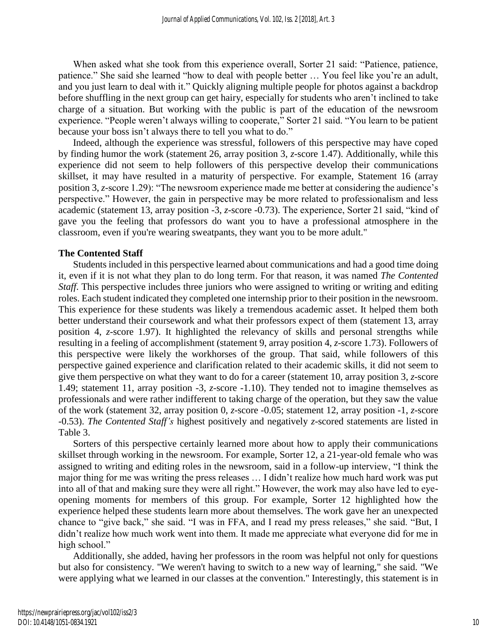When asked what she took from this experience overall, Sorter 21 said: "Patience, patience, patience." She said she learned "how to deal with people better … You feel like you're an adult, and you just learn to deal with it." Quickly aligning multiple people for photos against a backdrop before shuffling in the next group can get hairy, especially for students who aren't inclined to take charge of a situation. But working with the public is part of the education of the newsroom experience. "People weren't always willing to cooperate," Sorter 21 said. "You learn to be patient because your boss isn't always there to tell you what to do."

Indeed, although the experience was stressful, followers of this perspective may have coped by finding humor the work (statement 26, array position 3, *z*-score 1.47). Additionally, while this experience did not seem to help followers of this perspective develop their communications skillset, it may have resulted in a maturity of perspective. For example, Statement 16 (array position 3, *z*-score 1.29): "The newsroom experience made me better at considering the audience's perspective." However, the gain in perspective may be more related to professionalism and less academic (statement 13, array position -3, *z*-score -0.73). The experience, Sorter 21 said, "kind of gave you the feeling that professors do want you to have a professional atmosphere in the classroom, even if you're wearing sweatpants, they want you to be more adult."

#### **The Contented Staff**

Students included in this perspective learned about communications and had a good time doing it, even if it is not what they plan to do long term. For that reason, it was named *The Contented Staff*. This perspective includes three juniors who were assigned to writing or writing and editing roles. Each student indicated they completed one internship prior to their position in the newsroom. This experience for these students was likely a tremendous academic asset. It helped them both better understand their coursework and what their professors expect of them (statement 13, array position 4, *z*-score 1.97). It highlighted the relevancy of skills and personal strengths while resulting in a feeling of accomplishment (statement 9, array position 4, *z*-score 1.73). Followers of this perspective were likely the workhorses of the group. That said, while followers of this perspective gained experience and clarification related to their academic skills, it did not seem to give them perspective on what they want to do for a career (statement 10, array position 3, *z*-score 1.49; statement 11, array position -3, *z*-score -1.10). They tended not to imagine themselves as professionals and were rather indifferent to taking charge of the operation, but they saw the value of the work (statement 32, array position 0, *z*-score -0.05; statement 12, array position -1, *z*-score -0.53). *The Contented Staff's* highest positively and negatively *z*-scored statements are listed in Table 3.

Sorters of this perspective certainly learned more about how to apply their communications skillset through working in the newsroom. For example, Sorter 12, a 21-year-old female who was assigned to writing and editing roles in the newsroom, said in a follow-up interview, "I think the major thing for me was writing the press releases … I didn't realize how much hard work was put into all of that and making sure they were all right." However, the work may also have led to eyeopening moments for members of this group. For example, Sorter 12 highlighted how the experience helped these students learn more about themselves. The work gave her an unexpected chance to "give back," she said. "I was in FFA, and I read my press releases," she said. "But, I didn't realize how much work went into them. It made me appreciate what everyone did for me in high school."

Additionally, she added, having her professors in the room was helpful not only for questions but also for consistency. "We weren't having to switch to a new way of learning," she said. "We were applying what we learned in our classes at the convention." Interestingly, this statement is in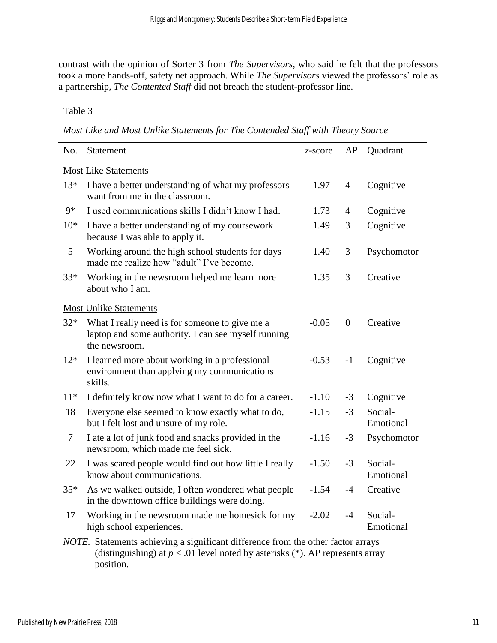contrast with the opinion of Sorter 3 from *The Supervisors*, who said he felt that the professors took a more hands-off, safety net approach. While *The Supervisors* viewed the professors' role as a partnership, *The Contented Staff* did not breach the student-professor line.

Table 3

*Most Like and Most Unlike Statements for The Contended Staff with Theory Source*

| No.                         | Statement                                                                                                              | z-score | AP             | Quadrant             |  |  |  |
|-----------------------------|------------------------------------------------------------------------------------------------------------------------|---------|----------------|----------------------|--|--|--|
| <b>Most Like Statements</b> |                                                                                                                        |         |                |                      |  |  |  |
| $13*$                       | I have a better understanding of what my professors<br>want from me in the classroom.                                  | 1.97    | 4              | Cognitive            |  |  |  |
| $9*$                        | I used communications skills I didn't know I had.                                                                      | 1.73    | $\overline{4}$ | Cognitive            |  |  |  |
| $10*$                       | I have a better understanding of my coursework<br>because I was able to apply it.                                      | 1.49    | 3              | Cognitive            |  |  |  |
| 5                           | Working around the high school students for days<br>made me realize how "adult" I've become.                           | 1.40    | 3              | Psychomotor          |  |  |  |
| 33*                         | Working in the newsroom helped me learn more<br>about who I am.                                                        | 1.35    | 3              | Creative             |  |  |  |
|                             | <b>Most Unlike Statements</b>                                                                                          |         |                |                      |  |  |  |
| $32*$                       | What I really need is for someone to give me a<br>laptop and some authority. I can see myself running<br>the newsroom. | $-0.05$ | $\overline{0}$ | Creative             |  |  |  |
| $12*$                       | I learned more about working in a professional<br>environment than applying my communications<br>skills.               | $-0.53$ | $-1$           | Cognitive            |  |  |  |
| $11*$                       | I definitely know now what I want to do for a career.                                                                  | $-1.10$ | $-3$           | Cognitive            |  |  |  |
| 18                          | Everyone else seemed to know exactly what to do,<br>but I felt lost and unsure of my role.                             | $-1.15$ | $-3$           | Social-<br>Emotional |  |  |  |
| $\overline{7}$              | I ate a lot of junk food and snacks provided in the<br>newsroom, which made me feel sick.                              | $-1.16$ | $-3$           | Psychomotor          |  |  |  |
| 22                          | I was scared people would find out how little I really<br>know about communications.                                   | $-1.50$ | $-3$           | Social-<br>Emotional |  |  |  |
| $35*$                       | As we walked outside, I often wondered what people<br>in the downtown office buildings were doing.                     | $-1.54$ | $-4$           | Creative             |  |  |  |
| 17                          | Working in the newsroom made me homesick for my<br>high school experiences.                                            | $-2.02$ | $-4$           | Social-<br>Emotional |  |  |  |

*NOTE.* Statements achieving a significant difference from the other factor arrays (distinguishing) at  $p < 0.01$  level noted by asterisks (\*). AP represents array position.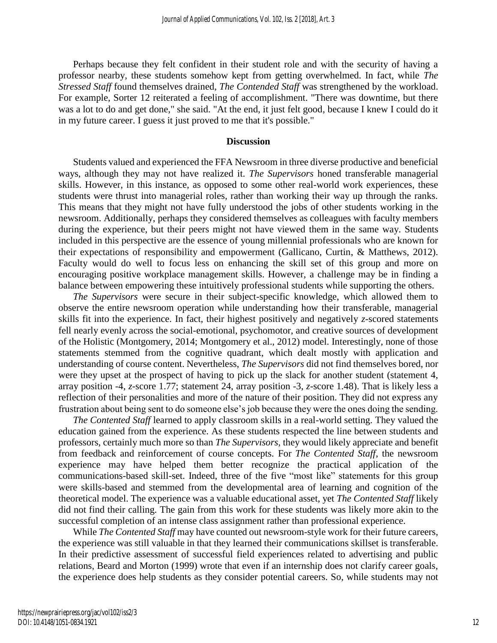Perhaps because they felt confident in their student role and with the security of having a professor nearby, these students somehow kept from getting overwhelmed. In fact, while *The Stressed Staff* found themselves drained, *The Contended Staff* was strengthened by the workload. For example, Sorter 12 reiterated a feeling of accomplishment. "There was downtime, but there was a lot to do and get done," she said. "At the end, it just felt good, because I knew I could do it in my future career. I guess it just proved to me that it's possible."

#### **Discussion**

Students valued and experienced the FFA Newsroom in three diverse productive and beneficial ways, although they may not have realized it. *The Supervisors* honed transferable managerial skills. However, in this instance, as opposed to some other real-world work experiences, these students were thrust into managerial roles, rather than working their way up through the ranks. This means that they might not have fully understood the jobs of other students working in the newsroom. Additionally, perhaps they considered themselves as colleagues with faculty members during the experience, but their peers might not have viewed them in the same way. Students included in this perspective are the essence of young millennial professionals who are known for their expectations of responsibility and empowerment (Gallicano, Curtin, & Matthews, 2012). Faculty would do well to focus less on enhancing the skill set of this group and more on encouraging positive workplace management skills. However, a challenge may be in finding a balance between empowering these intuitively professional students while supporting the others.

*The Supervisors* were secure in their subject-specific knowledge, which allowed them to observe the entire newsroom operation while understanding how their transferable, managerial skills fit into the experience. In fact, their highest positively and negatively *z*-scored statements fell nearly evenly across the social-emotional, psychomotor, and creative sources of development of the Holistic (Montgomery, 2014; Montgomery et al., 2012) model. Interestingly, none of those statements stemmed from the cognitive quadrant, which dealt mostly with application and understanding of course content. Nevertheless, *The Supervisors* did not find themselves bored, nor were they upset at the prospect of having to pick up the slack for another student (statement 4, array position -4, *z*-score 1.77; statement 24, array position -3, *z*-score 1.48). That is likely less a reflection of their personalities and more of the nature of their position. They did not express any frustration about being sent to do someone else's job because they were the ones doing the sending.

*The Contented Staff* learned to apply classroom skills in a real-world setting. They valued the education gained from the experience. As these students respected the line between students and professors, certainly much more so than *The Supervisors*, they would likely appreciate and benefit from feedback and reinforcement of course concepts. For *The Contented Staff*, the newsroom experience may have helped them better recognize the practical application of the communications-based skill-set. Indeed, three of the five "most like" statements for this group were skills-based and stemmed from the developmental area of learning and cognition of the theoretical model. The experience was a valuable educational asset, yet *The Contented Staff* likely did not find their calling. The gain from this work for these students was likely more akin to the successful completion of an intense class assignment rather than professional experience.

While *The Contented Staff* may have counted out newsroom-style work for their future careers, the experience was still valuable in that they learned their communications skillset is transferable. In their predictive assessment of successful field experiences related to advertising and public relations, Beard and Morton (1999) wrote that even if an internship does not clarify career goals, the experience does help students as they consider potential careers. So, while students may not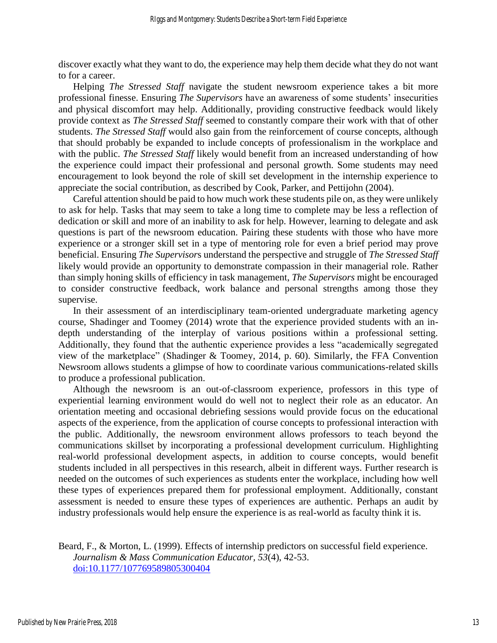discover exactly what they want to do, the experience may help them decide what they do not want to for a career.

Helping *The Stressed Staff* navigate the student newsroom experience takes a bit more professional finesse. Ensuring *The Supervisors* have an awareness of some students' insecurities and physical discomfort may help. Additionally, providing constructive feedback would likely provide context as *The Stressed Staff* seemed to constantly compare their work with that of other students. *The Stressed Staff* would also gain from the reinforcement of course concepts, although that should probably be expanded to include concepts of professionalism in the workplace and with the public. *The Stressed Staff* likely would benefit from an increased understanding of how the experience could impact their professional and personal growth. Some students may need encouragement to look beyond the role of skill set development in the internship experience to appreciate the social contribution, as described by Cook, Parker, and Pettijohn (2004).

Careful attention should be paid to how much work these students pile on, as they were unlikely to ask for help. Tasks that may seem to take a long time to complete may be less a reflection of dedication or skill and more of an inability to ask for help. However, learning to delegate and ask questions is part of the newsroom education. Pairing these students with those who have more experience or a stronger skill set in a type of mentoring role for even a brief period may prove beneficial. Ensuring *The Supervisor*s understand the perspective and struggle of *The Stressed Staff* likely would provide an opportunity to demonstrate compassion in their managerial role. Rather than simply honing skills of efficiency in task management, *The Supervisors* might be encouraged to consider constructive feedback, work balance and personal strengths among those they supervise.

In their assessment of an interdisciplinary team-oriented undergraduate marketing agency course, Shadinger and Toomey (2014) wrote that the experience provided students with an indepth understanding of the interplay of various positions within a professional setting. Additionally, they found that the authentic experience provides a less "academically segregated view of the marketplace" (Shadinger & Toomey, 2014, p. 60). Similarly, the FFA Convention Newsroom allows students a glimpse of how to coordinate various communications-related skills to produce a professional publication.

Although the newsroom is an out-of-classroom experience, professors in this type of experiential learning environment would do well not to neglect their role as an educator. An orientation meeting and occasional debriefing sessions would provide focus on the educational aspects of the experience, from the application of course concepts to professional interaction with the public. Additionally, the newsroom environment allows professors to teach beyond the communications skillset by incorporating a professional development curriculum. Highlighting real-world professional development aspects, in addition to course concepts, would benefit students included in all perspectives in this research, albeit in different ways. Further research is needed on the outcomes of such experiences as students enter the workplace, including how well these types of experiences prepared them for professional employment. Additionally, constant assessment is needed to ensure these types of experiences are authentic. Perhaps an audit by industry professionals would help ensure the experience is as real-world as faculty think it is.

Beard, F., & Morton, L. (1999). Effects of internship predictors on successful field experience. *Journalism & Mass Communication Educator, 53*(4), 42-53. [doi:10.1177/107769589805300404](https://doi.org/10.1177/107769589805300404)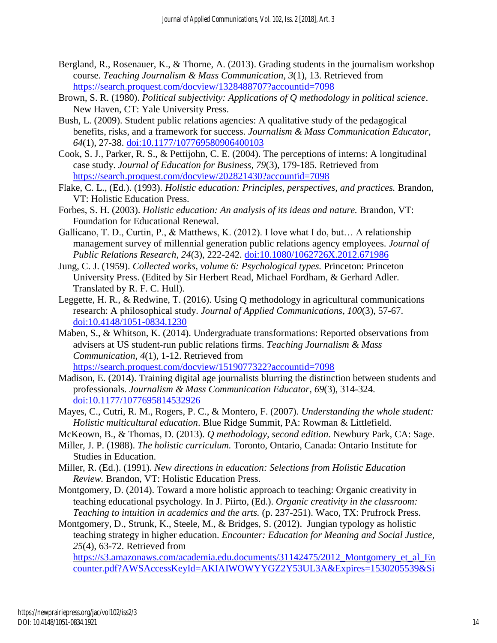- Bergland, R., Rosenauer, K., & Thorne, A. (2013). Grading students in the journalism workshop course. *Teaching Journalism & Mass Communication*, *3*(1), 13. Retrieved from <https://search.proquest.com/docview/1328488707?accountid=7098>
- Brown, S. R. (1980). *Political subjectivity: Applications of Q methodology in political science*. New Haven, CT: Yale University Press.
- Bush, L. (2009). Student public relations agencies: A qualitative study of the pedagogical benefits, risks, and a framework for success. *Journalism & Mass Communication Educator*, *64*(1), 27-38. [doi:10.1177/107769580906400103](https://doi.org/10.1177/107769580906400103)
- Cook, S. J., Parker, R. S., & Pettijohn, C. E. (2004). The perceptions of interns: A longitudinal case study. *Journal of Education for Business, 79*(3), 179-185. Retrieved from <https://search.proquest.com/docview/202821430?accountid=7098>
- Flake, C. L., (Ed.). (1993). *Holistic education: Principles, perspectives, and practices.* Brandon, VT: Holistic Education Press.
- Forbes, S. H. (2003). *Holistic education: An analysis of its ideas and nature.* Brandon, VT: Foundation for Educational Renewal.
- Gallicano, T. D., Curtin, P., & Matthews, K. (2012). I love what I do, but… A relationship management survey of millennial generation public relations agency employees. *Journal of Public Relations Research*, *24*(3), 222-242. [doi:10.1080/1062726X.2012.671986](http://dx.doi.org/10.1080/1062726X.2012.671986)
- Jung, C. J. (1959). *Collected works, volume 6: Psychological types.* Princeton: Princeton University Press. (Edited by Sir Herbert Read, Michael Fordham, & Gerhard Adler. Translated by R. F. C. Hull).
- Leggette, H. R., & Redwine, T. (2016). Using Q methodology in agricultural communications research: A philosophical study. *Journal of Applied Communications, 100*(3), 57-67. [doi:10.4148/1051-0834.1230](https://doi.org/10.4148/1051-0834.1230)
- Maben, S., & Whitson, K. (2014). Undergraduate transformations: Reported observations from advisers at US student-run public relations firms. *Teaching Journalism & Mass Communication*, *4*(1), 1-12. Retrieved from <https://search.proquest.com/docview/1519077322?accountid=7098>
- Madison, E. (2014). Training digital age journalists blurring the distinction between students and professionals. *Journalism & Mass Communication Educator, 69*(3), 314-324. [doi:10.1177/1077695814532926](https://doi.org/10.1177/1077695814532926)
- Mayes, C., Cutri, R. M., Rogers, P. C., & Montero, F. (2007). *Understanding the whole student: Holistic multicultural education*. Blue Ridge Summit, PA: Rowman & Littlefield.
- McKeown, B., & Thomas, D. (2013). *Q methodology, second edition*. Newbury Park, CA: Sage.
- Miller, J. P. (1988). *The holistic curriculum.* Toronto, Ontario, Canada: Ontario Institute for Studies in Education.
- Miller, R. (Ed.). (1991). *New directions in education: Selections from Holistic Education Review.* Brandon, VT: Holistic Education Press.
- Montgomery, D. (2014). Toward a more holistic approach to teaching: Organic creativity in teaching educational psychology. In J. Piirto, (Ed.). *Organic creativity in the classroom: Teaching to intuition in academics and the arts.* (p. 237-251). Waco, TX: Prufrock Press.
- Montgomery, D., Strunk, K., Steele, M., & Bridges, S. (2012). Jungian typology as holistic teaching strategy in higher education. *Encounter: Education for Meaning and Social Justice, 25*(4), 63-72. Retrieved from

[https://s3.amazonaws.com/academia.edu.documents/31142475/2012\\_Montgomery\\_et\\_al\\_En](https://s3.amazonaws.com/academia.edu.documents/31142475/2012_Montgomery_et_al_Encounter.pdf?AWSAccessKeyId=AKIAIWOWYYGZ2Y53UL3A&Expires=1530205539&Signature=Vya5skfXS41FI2a3mnsHcZLuTxI%3D&response-content-disposition=inline%3B%20filename%3DJungian_typology_as_holistic_teaching_st.pdf) [counter.pdf?AWSAccessKeyId=AKIAIWOWYYGZ2Y53UL3A&Expires=1530205539&Si](https://s3.amazonaws.com/academia.edu.documents/31142475/2012_Montgomery_et_al_Encounter.pdf?AWSAccessKeyId=AKIAIWOWYYGZ2Y53UL3A&Expires=1530205539&Signature=Vya5skfXS41FI2a3mnsHcZLuTxI%3D&response-content-disposition=inline%3B%20filename%3DJungian_typology_as_holistic_teaching_st.pdf)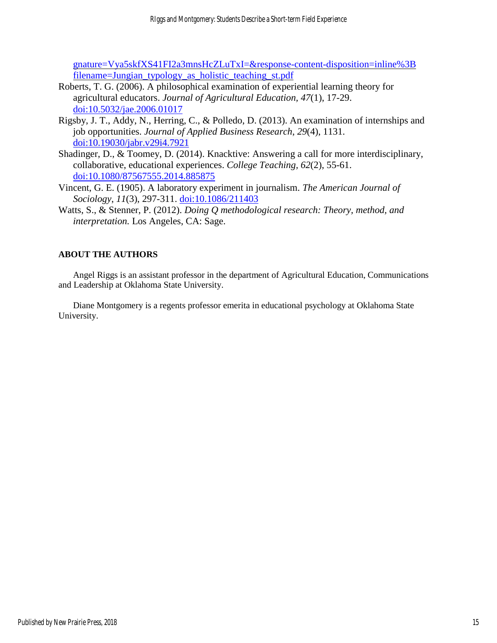[gnature=Vya5skfXS41FI2a3mnsHcZLuTxI=&response-content-disposition=inline%3B](https://s3.amazonaws.com/academia.edu.documents/31142475/2012_Montgomery_et_al_Encounter.pdf?AWSAccessKeyId=AKIAIWOWYYGZ2Y53UL3A&Expires=1530205539&Signature=Vya5skfXS41FI2a3mnsHcZLuTxI%3D&response-content-disposition=inline%3B%20filename%3DJungian_typology_as_holistic_teaching_st.pdf) [filename=Jungian\\_typology\\_as\\_holistic\\_teaching\\_st.pdf](https://s3.amazonaws.com/academia.edu.documents/31142475/2012_Montgomery_et_al_Encounter.pdf?AWSAccessKeyId=AKIAIWOWYYGZ2Y53UL3A&Expires=1530205539&Signature=Vya5skfXS41FI2a3mnsHcZLuTxI%3D&response-content-disposition=inline%3B%20filename%3DJungian_typology_as_holistic_teaching_st.pdf)

- Roberts, T. G. (2006). A philosophical examination of experiential learning theory for agricultural educators. *Journal of Agricultural Education, 47*(1), 17-29. [doi:10.5032/jae.2006.01017](http://www.jae-online.org/attachments/article/243/Roberts_Vol47_1_17-29.pdf)
- Rigsby, J. T., Addy, N., Herring, C., & Polledo, D. (2013). An examination of internships and job opportunities. *Journal of Applied Business Research*, *29*(4), 1131. [doi:10.19030/jabr.v29i4.7921](https://dx.doi.org/10.19030/jabr.v29i4.7921)
- Shadinger, D., & Toomey, D. (2014). Knacktive: Answering a call for more interdisciplinary, collaborative, educational experiences. *College Teaching, 62*(2), 55-61. [doi:10.1080/87567555.2014.885875](http://dx.doi.org/10.1080/87567555.2014.885875)
- Vincent, G. E. (1905). A laboratory experiment in journalism. *The American Journal of Sociology*, *11*(3), 297-311. [doi:10.1086/211403](https://doi.org/10.1086/211403)
- Watts, S., & Stenner, P. (2012). *Doing Q methodological research: Theory, method, and interpretation.* Los Angeles, CA: Sage.

## **ABOUT THE AUTHORS**

Angel Riggs is an assistant professor in the department of Agricultural Education, Communications and Leadership at Oklahoma State University.

Diane Montgomery is a regents professor emerita in educational psychology at Oklahoma State University.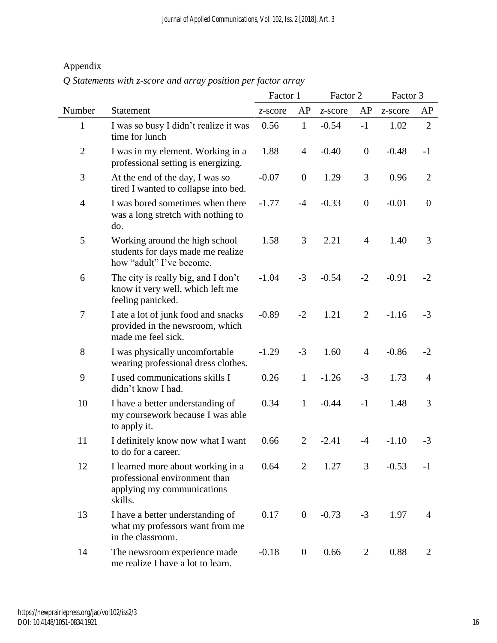## Appendix

*Q Statements with z-score and array position per factor array* 

|                  |                                                                                                             | Factor 1 |                  | Factor 2 |                  | Factor 3 |                  |
|------------------|-------------------------------------------------------------------------------------------------------------|----------|------------------|----------|------------------|----------|------------------|
| Number           | Statement                                                                                                   | z-score  | AP               | z-score  | AP               | z-score  | AP               |
| $\mathbf{1}$     | I was so busy I didn't realize it was<br>time for lunch                                                     | 0.56     | $\mathbf{1}$     | $-0.54$  | $-1$             | 1.02     | $\overline{2}$   |
| $\mathbf{2}$     | I was in my element. Working in a<br>professional setting is energizing.                                    | 1.88     | $\overline{4}$   | $-0.40$  | $\boldsymbol{0}$ | $-0.48$  | $-1$             |
| $\mathfrak{Z}$   | At the end of the day, I was so<br>tired I wanted to collapse into bed.                                     | $-0.07$  | $\boldsymbol{0}$ | 1.29     | 3                | 0.96     | $\overline{2}$   |
| $\overline{4}$   | I was bored sometimes when there<br>was a long stretch with nothing to<br>do.                               | $-1.77$  | $-4$             | $-0.33$  | $\boldsymbol{0}$ | $-0.01$  | $\boldsymbol{0}$ |
| 5                | Working around the high school<br>students for days made me realize<br>how "adult" I've become.             | 1.58     | 3                | 2.21     | $\overline{4}$   | 1.40     | 3                |
| 6                | The city is really big, and I don't<br>know it very well, which left me<br>feeling panicked.                | $-1.04$  | $-3$             | $-0.54$  | $-2$             | $-0.91$  | $-2$             |
| $\boldsymbol{7}$ | I ate a lot of junk food and snacks<br>provided in the newsroom, which<br>made me feel sick.                | $-0.89$  | $-2$             | 1.21     | $\overline{2}$   | $-1.16$  | $-3$             |
| 8                | I was physically uncomfortable<br>wearing professional dress clothes.                                       | $-1.29$  | $-3$             | 1.60     | $\overline{4}$   | $-0.86$  | $-2$             |
| 9                | I used communications skills I<br>didn't know I had.                                                        | 0.26     | $\mathbf{1}$     | $-1.26$  | $-3$             | 1.73     | 4                |
| 10               | I have a better understanding of<br>my coursework because I was able<br>to apply it.                        | 0.34     | $\mathbf{1}$     | $-0.44$  | $-1$             | 1.48     | 3                |
| 11               | I definitely know now what I want<br>to do for a career.                                                    | 0.66     | $\overline{2}$   | $-2.41$  | $-4$             | $-1.10$  | $-3$             |
| 12               | I learned more about working in a<br>professional environment than<br>applying my communications<br>skills. | 0.64     | 2                | 1.27     | 3                | $-0.53$  | $-1$             |
| 13               | I have a better understanding of<br>what my professors want from me<br>in the classroom.                    | 0.17     | $\overline{0}$   | $-0.73$  | $-3$             | 1.97     | 4                |
| 14               | The newsroom experience made<br>me realize I have a lot to learn.                                           | $-0.18$  | $\overline{0}$   | 0.66     | $\overline{2}$   | 0.88     | $\overline{2}$   |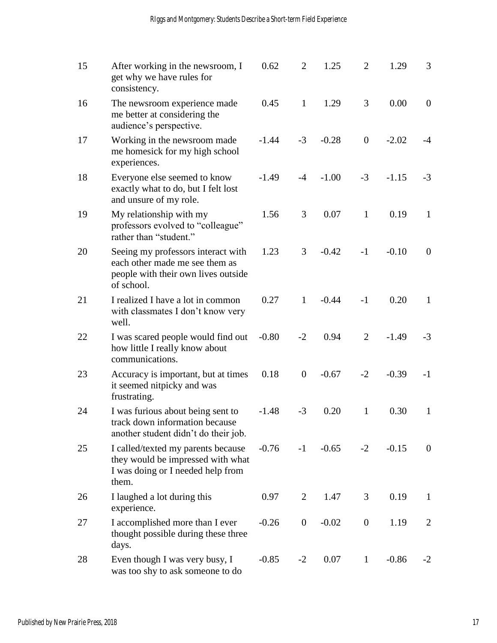| 15 | After working in the newsroom, I<br>get why we have rules for<br>consistency.                                             | 0.62    | $\overline{2}$   | 1.25    | $\overline{2}$ | 1.29    | 3              |
|----|---------------------------------------------------------------------------------------------------------------------------|---------|------------------|---------|----------------|---------|----------------|
| 16 | The newsroom experience made<br>me better at considering the<br>audience's perspective.                                   | 0.45    | $\mathbf{1}$     | 1.29    | 3              | 0.00    | $\mathbf{0}$   |
| 17 | Working in the newsroom made<br>me homesick for my high school<br>experiences.                                            | $-1.44$ | $-3$             | $-0.28$ | $\mathbf{0}$   | $-2.02$ | $-4$           |
| 18 | Everyone else seemed to know<br>exactly what to do, but I felt lost<br>and unsure of my role.                             | $-1.49$ | $-4$             | $-1.00$ | $-3$           | $-1.15$ | $-3$           |
| 19 | My relationship with my<br>professors evolved to "colleague"<br>rather than "student."                                    | 1.56    | 3                | 0.07    | $\mathbf{1}$   | 0.19    | $\mathbf{1}$   |
| 20 | Seeing my professors interact with<br>each other made me see them as<br>people with their own lives outside<br>of school. | 1.23    | 3                | $-0.42$ | $-1$           | $-0.10$ | $\mathbf{0}$   |
| 21 | I realized I have a lot in common<br>with classmates I don't know very<br>well.                                           | 0.27    | 1                | $-0.44$ | $-1$           | 0.20    | 1              |
| 22 | I was scared people would find out<br>how little I really know about<br>communications.                                   | $-0.80$ | $-2$             | 0.94    | 2              | $-1.49$ | $-3$           |
| 23 | Accuracy is important, but at times<br>it seemed nitpicky and was<br>frustrating.                                         | 0.18    | $\boldsymbol{0}$ | $-0.67$ | $-2$           | $-0.39$ | $-1$           |
| 24 | I was furious about being sent to<br>track down information because<br>another student didn't do their job.               | $-1.48$ | $-3$             | 0.20    | $\mathbf{1}$   | 0.30    | $\mathbf{1}$   |
| 25 | I called/texted my parents because<br>they would be impressed with what<br>I was doing or I needed help from<br>them.     | $-0.76$ | $-1$             | $-0.65$ | $-2$           | $-0.15$ | $\overline{0}$ |
| 26 | I laughed a lot during this<br>experience.                                                                                | 0.97    | 2                | 1.47    | 3              | 0.19    | $\mathbf{1}$   |
| 27 | I accomplished more than I ever<br>thought possible during these three<br>days.                                           | $-0.26$ | $\boldsymbol{0}$ | $-0.02$ | $\overline{0}$ | 1.19    | $\overline{2}$ |
| 28 | Even though I was very busy, I<br>was too shy to ask someone to do                                                        | $-0.85$ | $-2$             | 0.07    | $\mathbf{1}$   | $-0.86$ | $-2$           |